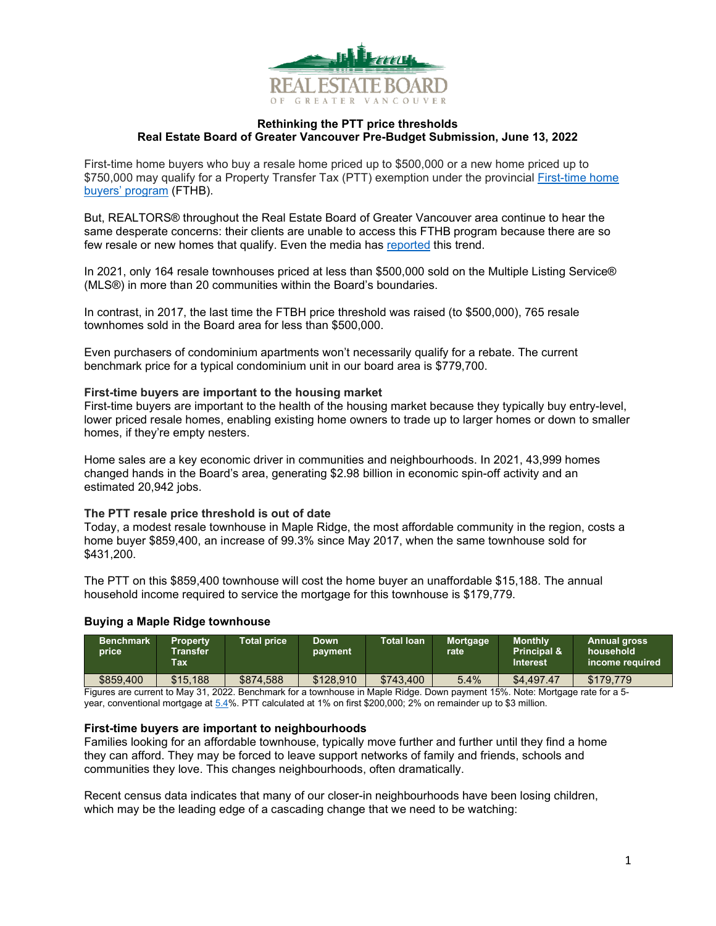

### **Rethinking the PTT price thresholds Real Estate Board of Greater Vancouver Pre-Budget Submission, June 13, 2022**

First-time home buyers who buy a resale home priced up to \$500,000 or a new home priced up to \$750,000 may qualify for a Property Transfer Tax (PTT) exemption under the provincial [First-time home](https://www2.gov.bc.ca/gov/content/taxes/property-taxes/property-transfer-tax/exemptions/first-time-home-buyers)  [buyers' program](https://www2.gov.bc.ca/gov/content/taxes/property-taxes/property-transfer-tax/exemptions/first-time-home-buyers) (FTHB).

But, REALTORS® throughout the Real Estate Board of Greater Vancouver area continue to hear the same desperate concerns: their clients are unable to access this FTHB program because there are so few resale or new homes that qualify. Even the media has [reported](https://www.cbc.ca/news/canada/british-columbia/first-time-home-buyers-bc-tax-exemption-program-1.6447028) this trend.

In 2021, only 164 resale townhouses priced at less than \$500,000 sold on the Multiple Listing Service® (MLS®) in more than 20 communities within the Board's boundaries.

In contrast, in 2017, the last time the FTBH price threshold was raised (to \$500,000), 765 resale townhomes sold in the Board area for less than \$500,000.

Even purchasers of condominium apartments won't necessarily qualify for a rebate. The current benchmark price for a typical condominium unit in our board area is \$779,700.

### **First-time buyers are important to the housing market**

First-time buyers are important to the health of the housing market because they typically buy entry-level, lower priced resale homes, enabling existing home owners to trade up to larger homes or down to smaller homes, if they're empty nesters.

Home sales are a key economic driver in communities and neighbourhoods. In 2021, 43,999 homes changed hands in the Board's area, generating \$2.98 billion in economic spin-off activity and an estimated 20,942 jobs.

### **The PTT resale price threshold is out of date**

Today, a modest resale townhouse in Maple Ridge, the most affordable community in the region, costs a home buyer \$859,400, an increase of 99.3% since May 2017, when the same townhouse sold for \$431,200.

The PTT on this \$859,400 townhouse will cost the home buyer an unaffordable \$15,188. The annual household income required to service the mortgage for this townhouse is \$179,779.

# **Buying a Maple Ridge townhouse**

| <b>Benchmark</b><br>price                                                                                                     | <b>Property</b><br><b>Transfer</b><br><b>Tax</b> | <b>Total price</b> | <b>Down</b><br>payment | <b>Total loan</b> | Mortgage<br>rate | <b>Monthly</b><br><b>Principal &amp;</b><br><b>Interest</b> | <b>Annual gross</b><br>household<br>income required |
|-------------------------------------------------------------------------------------------------------------------------------|--------------------------------------------------|--------------------|------------------------|-------------------|------------------|-------------------------------------------------------------|-----------------------------------------------------|
| \$859.400                                                                                                                     | \$15,188                                         | \$874.588          | \$128.910              | \$743.400         | 5.4%             | \$4,497.47                                                  | \$179.779                                           |
| Figures are current to May 31, 2022, Repeterate for a townhouse in Maple Pidge, Down payment 15%, Note: Mertagge rate for a 5 |                                                  |                    |                        |                   |                  |                                                             |                                                     |

Figures are current to May 31, 2022. Benchmark for a townhouse in Maple Ridge. Down payment 15%. Note: Mortgage rate for a 5 year, conventional mortgage at [5.4%](https://www.bankofcanada.ca/rates/banking-and-financial-statistics/posted-interest-rates-offered-by-chartered-banks/). PTT calculated at 1% on first \$200,000; 2% on remainder up to \$3 million.

### **First-time buyers are important to neighbourhoods**

Families looking for an affordable townhouse, typically move further and further until they find a home they can afford. They may be forced to leave support networks of family and friends, schools and communities they love. This changes neighbourhoods, often dramatically.

Recent census data indicates that many of our closer-in neighbourhoods have been losing children, which may be the leading edge of a cascading change that we need to be watching: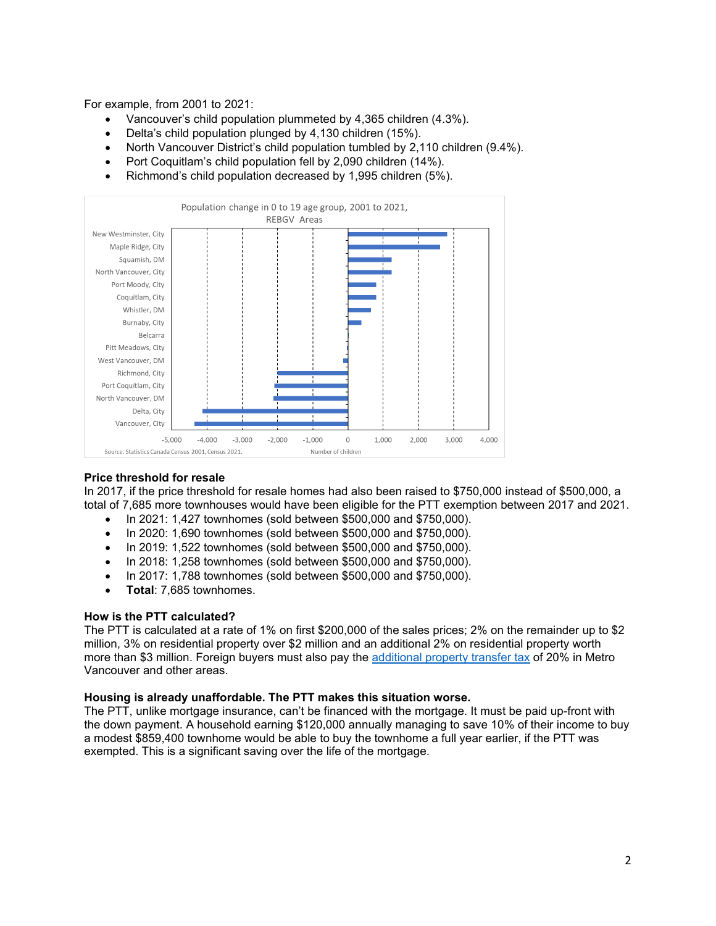For example, from 2001 to 2021:

- Vancouver's child population plummeted by 4,365 children (4.3%).
- Delta's child population plunged by 4,130 children (15%).
- North Vancouver District's child population tumbled by 2,110 children (9.4%).
- Port Coquitlam's child population fell by 2,090 children (14%).
- Richmond's child population decreased by 1,995 children (5%).



### **Price threshold for resale**

In 2017, if the price threshold for resale homes had also been raised to \$750,000 instead of \$500,000, a total of 7,685 more townhouses would have been eligible for the PTT exemption between 2017 and 2021.

- In 2021: 1,427 townhomes (sold between \$500,000 and \$750,000).
- In 2020: 1,690 townhomes (sold between \$500,000 and \$750,000).
- In 2019: 1,522 townhomes (sold between \$500,000 and \$750,000).
- In 2018: 1,258 townhomes (sold between \$500,000 and \$750,000).
- In 2017: 1,788 townhomes (sold between \$500,000 and \$750,000).
- **Total**: 7,685 townhomes.

### **How is the PTT calculated?**

The PTT is calculated at a rate of 1% on first \$200,000 of the sales prices; 2% on the remainder up to \$2 million, 3% on residential property over \$2 million and an additional 2% on residential property worth more than \$3 million. Foreign buyers must also pay the [additional property transfer tax](https://www2.gov.bc.ca/gov/content/taxes/property-taxes/property-transfer-tax/additional-property-transfer-tax) of 20% in Metro Vancouver and other areas.

### **Housing is already unaffordable. The PTT makes this situation worse.**

The PTT, unlike mortgage insurance, can't be financed with the mortgage. It must be paid up-front with the down payment. A household earning \$120,000 annually managing to save 10% of their income to buy a modest \$859,400 townhome would be able to buy the townhome a full year earlier, if the PTT was exempted. This is a significant saving over the life of the mortgage.